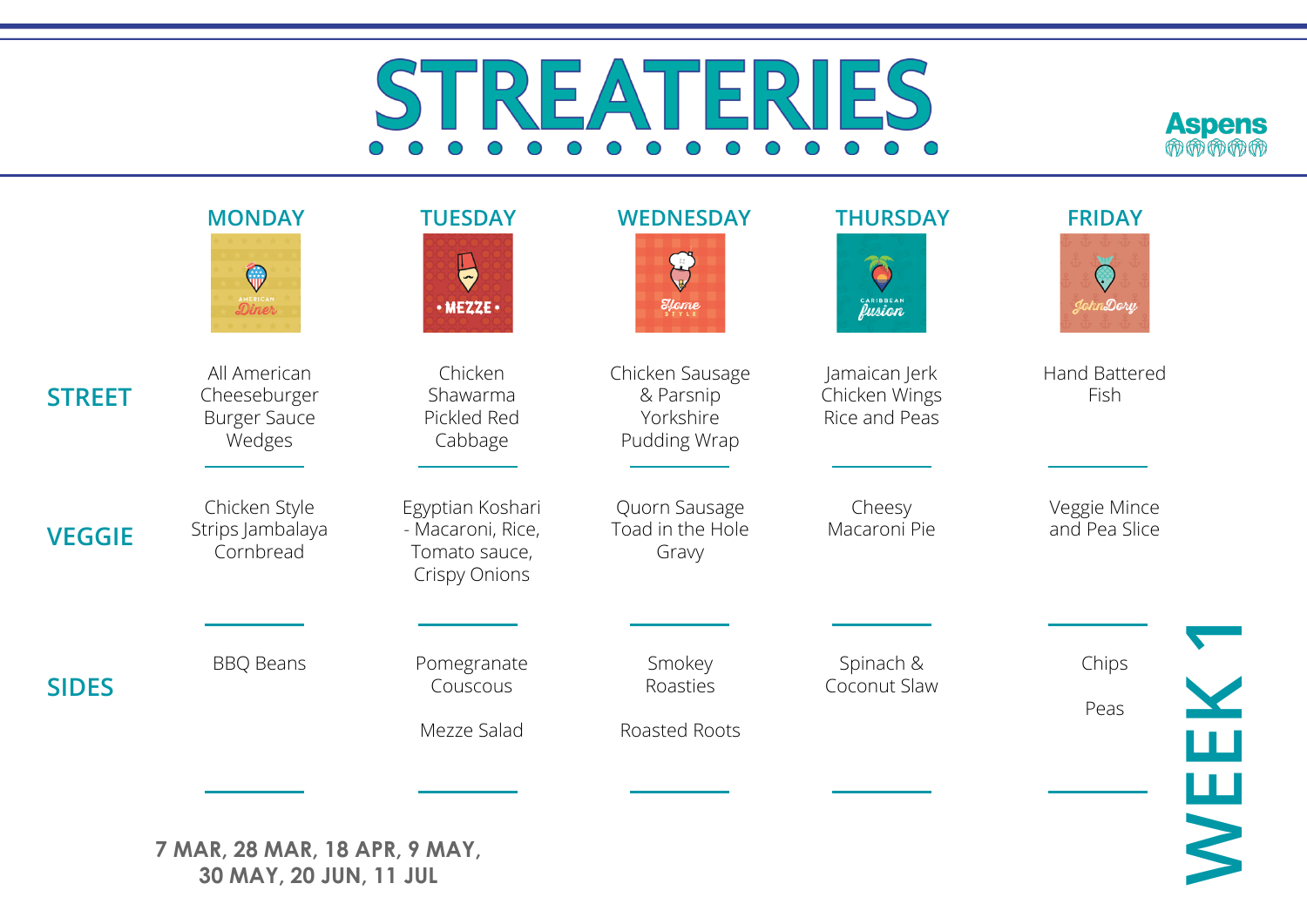## REA ERIES  $S^ O$   $O$  $\bigcirc$  $\bigcap$  $\bigcap$



|               | <b>MONDAY</b><br>$\mathbb{Q}$<br>Diner                        | <b>TUESDAY</b><br>$\bigoplus$<br>· MEZZE ·                                     | <b>WEDNESDAY</b><br>$\mathcal{E}$ fome                    | <b>THURSDAY</b><br>CARIBBEAN                    | <b>FRIDAY</b><br>$\bigodot$<br>JohnDory |
|---------------|---------------------------------------------------------------|--------------------------------------------------------------------------------|-----------------------------------------------------------|-------------------------------------------------|-----------------------------------------|
| <b>STREET</b> | All American<br>Cheeseburger<br><b>Burger Sauce</b><br>Wedges | Chicken<br>Shawarma<br>Pickled Red<br>Cabbage                                  | Chicken Sausage<br>& Parsnip<br>Yorkshire<br>Pudding Wrap | Jamaican Jerk<br>Chicken Wings<br>Rice and Peas | Hand Battered<br>Fish                   |
| <b>VEGGIE</b> | Chicken Style<br>Strips Jambalaya<br>Cornbread                | Egyptian Koshari<br>- Macaroni, Rice,<br>Tomato sauce,<br><b>Crispy Onions</b> | Quorn Sausage<br>Toad in the Hole<br>Gravy                | Cheesy<br>Macaroni Pie                          | Veggie Mince<br>and Pea Slice           |
| <b>SIDES</b>  | <b>BBQ Beans</b>                                              | Pomegranate<br>Couscous<br>Mezze Salad                                         | Smokey<br>Roasties<br>Roasted Roots                       | Spinach &<br>Coconut Slaw                       | Chips<br>Peas                           |
|               | 7 MAR, 28 MAR, 18 APR, 9 MAY,<br>30 MAY, 20 JUN, 11 JUL       |                                                                                |                                                           |                                                 | WEEK                                    |

**7 MAR, 28 MAR, 18 APR, 9 MAY, 30 MAY, 20 JUN, 11 JUL**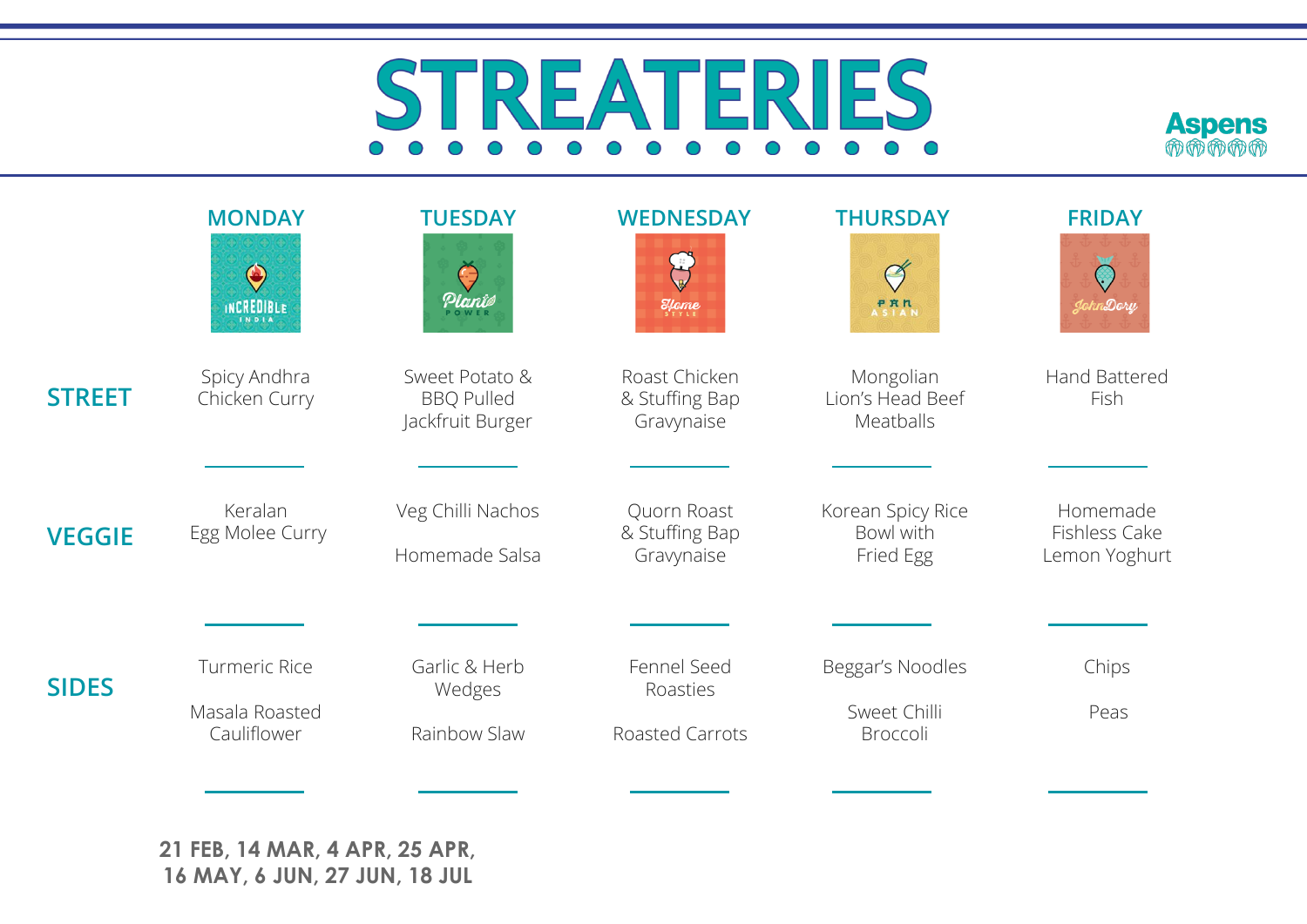## STREAT TERIES  $O$   $O$  $\bigcap$  $\bigcap$  $\bigcap$



|               | <b>MONDAY</b>                            | <b>TUESDAY</b>                                          | <b>WEDNESDAY</b>                              | <b>THURSDAY</b>                             | <b>FRIDAY</b>                              |
|---------------|------------------------------------------|---------------------------------------------------------|-----------------------------------------------|---------------------------------------------|--------------------------------------------|
|               | $\bigcirc$<br>INCREDIBLE<br><b>INDIA</b> | Planie                                                  | $\mathcal{H}$ ome                             | $\heartsuit$<br><b>PRR</b><br>ASIAN         | JohnDory                                   |
| <b>STREET</b> | Spicy Andhra<br>Chicken Curry            | Sweet Potato &<br><b>BBQ Pulled</b><br>Jackfruit Burger | Roast Chicken<br>& Stuffing Bap<br>Gravynaise | Mongolian<br>Lion's Head Beef<br>Meatballs  | Hand Battered<br>Fish                      |
|               |                                          |                                                         |                                               |                                             |                                            |
| <b>VEGGIE</b> | Keralan<br>Egg Molee Curry               | Veg Chilli Nachos<br>Homemade Salsa                     | Quorn Roast<br>& Stuffing Bap<br>Gravynaise   | Korean Spicy Rice<br>Bowl with<br>Fried Egg | Homemade<br>Fishless Cake<br>Lemon Yoghurt |
|               |                                          |                                                         |                                               |                                             |                                            |
| <b>SIDES</b>  | <b>Turmeric Rice</b>                     | Garlic & Herb<br>Wedges                                 | Fennel Seed<br>Roasties                       | Beggar's Noodles                            | Chips                                      |
|               | Masala Roasted<br>Cauliflower            | Rainbow Slaw                                            | <b>Roasted Carrots</b>                        | Sweet Chilli<br>Broccoli                    | Peas                                       |
|               |                                          |                                                         |                                               |                                             |                                            |

**21 FEB, 14 MAR, 4 APR, 25 APR, 16 MAY, 6 JUN, 27 JUN, 18 JUL**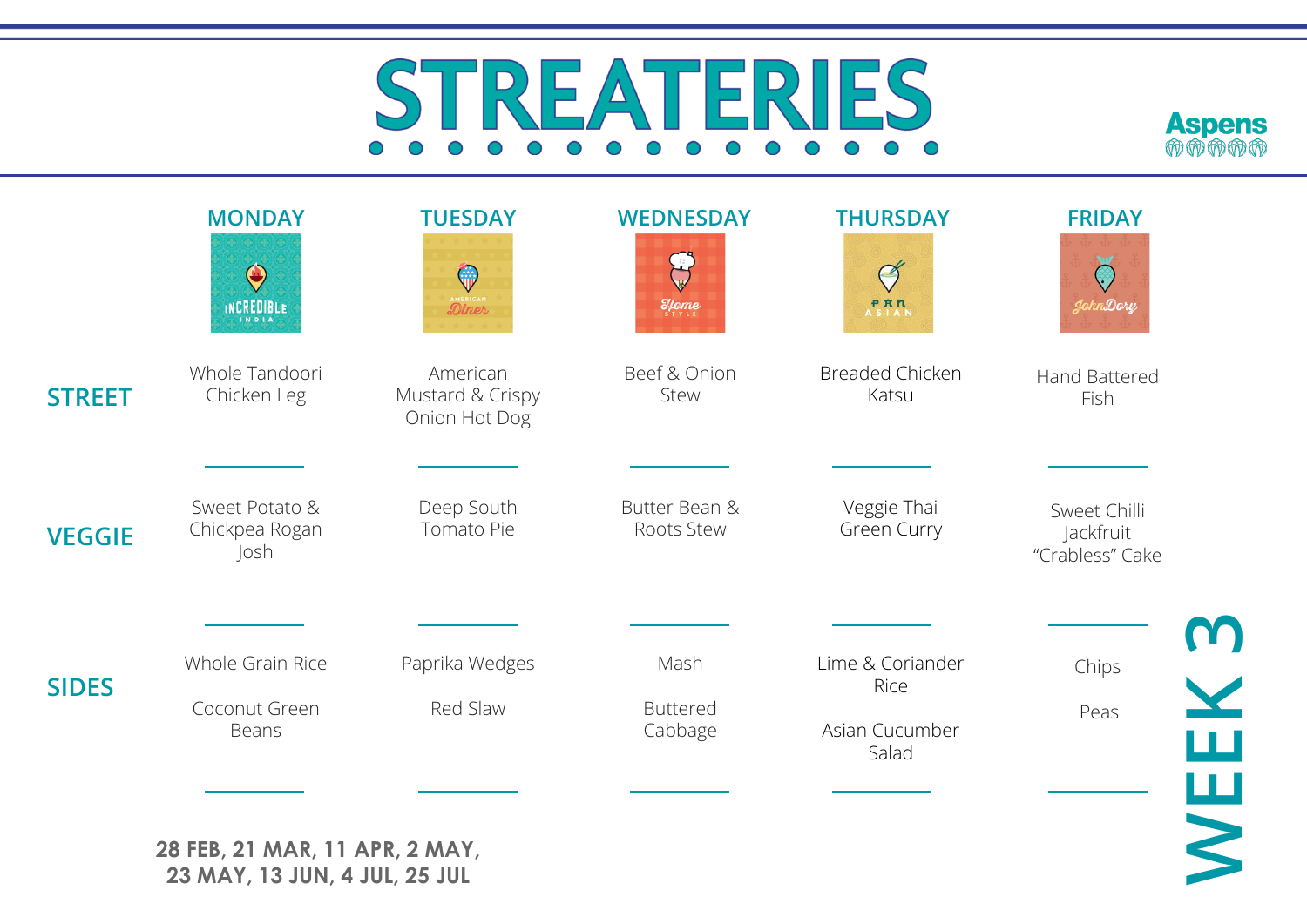## **IES**  $FRI$  $S^-$ REA  $O$   $O$  $\bigcap$  $\bigcap$  $\bigcap$



|               | $\bigcirc$<br>INCREDIBLE                   | $\mathbb{Q}$<br>Diner                         | $\mathcal{E}_{\text{supp}}$        | $\heartsuit$<br><b>PRN</b><br>ASIAN                 | $\bigcirc$<br>JohnDory                       |
|---------------|--------------------------------------------|-----------------------------------------------|------------------------------------|-----------------------------------------------------|----------------------------------------------|
| <b>STREET</b> | Whole Tandoori<br>Chicken Leg              | American<br>Mustard & Crispy<br>Onion Hot Dog | Beef & Onion<br>Stew               | <b>Breaded Chicken</b><br>Katsu                     | <b>Hand Battered</b><br>Fish                 |
| <b>VEGGIE</b> | Sweet Potato &<br>Chickpea Rogan<br>Josh   | Deep South<br>Tomato Pie                      | Butter Bean &<br>Roots Stew        | Veggie Thai<br>Green Curry                          | Sweet Chilli<br>Jackfruit<br>"Crabless" Cake |
| <b>SIDES</b>  | Whole Grain Rice<br>Coconut Green<br>Beans | Paprika Wedges<br>Red Slaw                    | Mash<br><b>Buttered</b><br>Cabbage | Lime & Coriander<br>Rice<br>Asian Cucumber<br>Salad | <b>NEEK3</b><br>Chips<br>Peas                |

**28 FEB, 21 MAR, 11 APR, 2 MAY, 23 MAY, 13 JUN, 4 JUL, 25 JUL**